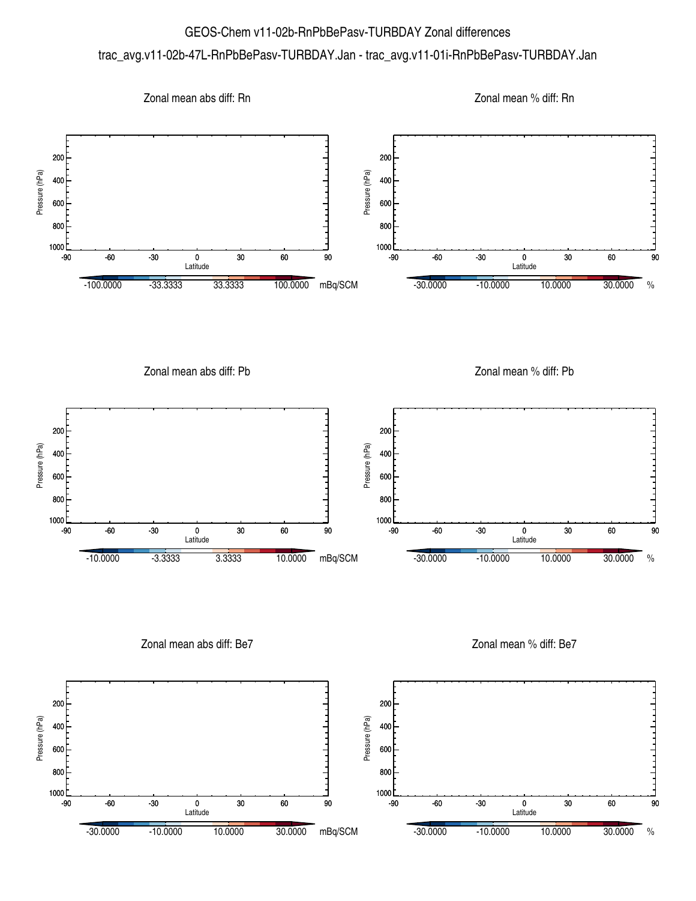## GEOS-Chem v11-02b-RnPbBePasv-TURBDAY Zonal differences

## trac\_avg.v11-02b-47L-RnPbBePasv-TURBDAY.Jan - trac\_avg.v11-01i-RnPbBePasv-TURBDAY.Jan